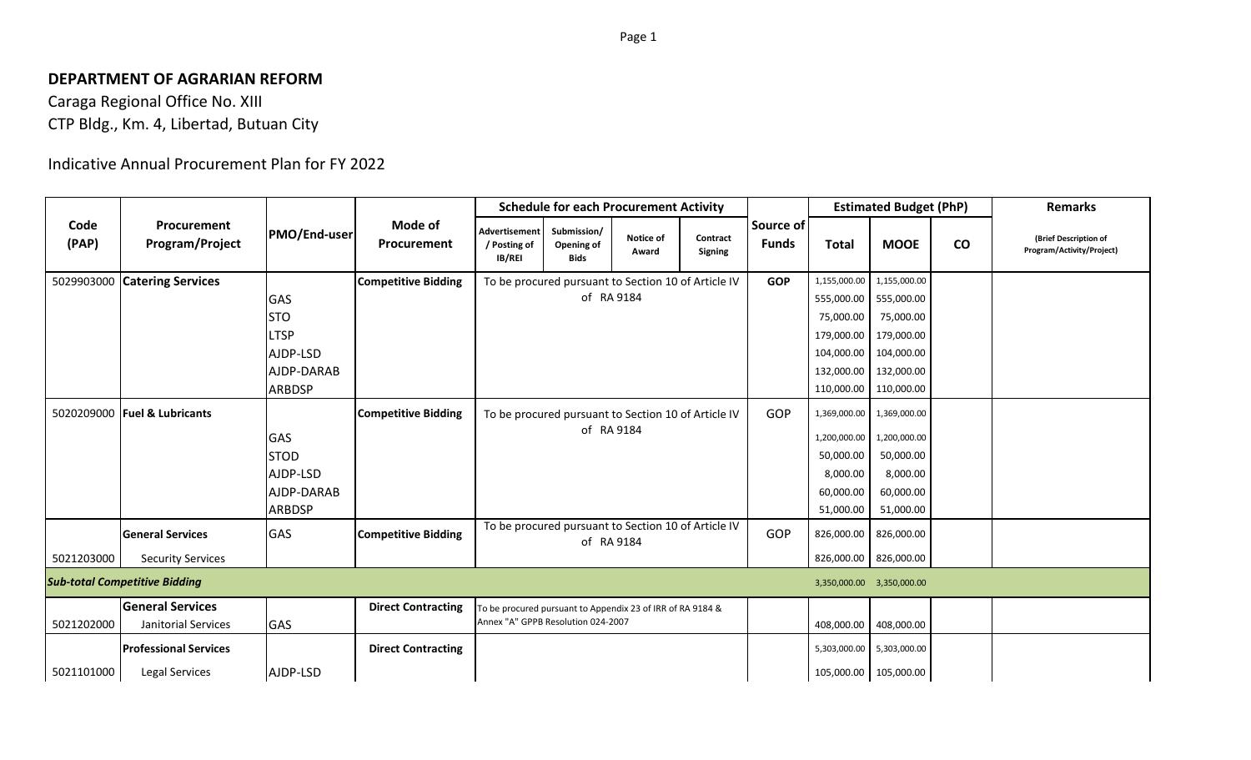## **DEPARTMENT OF AGRARIAN REFORM**

Caraga Regional Office No. XIII CTP Bldg., Km. 4, Libertad, Butuan City

## Indicative Annual Procurement Plan for FY 2022

|               |                                                |                     |                            | <b>Schedule for each Procurement Activity</b>       |                                                                                                  |                    |                            |                           |                           | <b>Estimated Budget (PhP)</b> |                 | <b>Remarks</b>                                     |
|---------------|------------------------------------------------|---------------------|----------------------------|-----------------------------------------------------|--------------------------------------------------------------------------------------------------|--------------------|----------------------------|---------------------------|---------------------------|-------------------------------|-----------------|----------------------------------------------------|
| Code<br>(PAP) | Procurement<br>Program/Project                 | <b>PMO/End-user</b> | Mode of<br>Procurement     | <b>Advertisement</b><br>/ Posting of<br>IB/REI      | Submission/<br>Opening of<br><b>Bids</b>                                                         | Notice of<br>Award | Contract<br><b>Signing</b> | Source of<br><b>Funds</b> | <b>Total</b>              | <b>MOOE</b>                   | $\mathsf{co}\,$ | (Brief Description of<br>Program/Activity/Project) |
|               | 5029903000 Catering Services                   |                     | <b>Competitive Bidding</b> |                                                     | To be procured pursuant to Section 10 of Article IV                                              |                    |                            |                           | 1,155,000.00              | 1,155,000.00                  |                 |                                                    |
|               |                                                | GAS                 |                            |                                                     | of RA 9184                                                                                       |                    |                            |                           | 555,000.00                | 555,000.00                    |                 |                                                    |
|               |                                                | <b>STO</b>          |                            |                                                     |                                                                                                  |                    |                            |                           | 75,000.00                 | 75,000.00                     |                 |                                                    |
|               |                                                | <b>LTSP</b>         |                            |                                                     |                                                                                                  |                    |                            |                           | 179,000.00                | 179,000.00                    |                 |                                                    |
|               |                                                | AJDP-LSD            |                            |                                                     |                                                                                                  |                    |                            | 104,000.00                | 104,000.00                |                               |                 |                                                    |
|               |                                                | AJDP-DARAB          |                            |                                                     |                                                                                                  |                    |                            | 132,000.00                | 132,000.00                |                               |                 |                                                    |
|               |                                                | <b>ARBDSP</b>       |                            |                                                     |                                                                                                  |                    |                            |                           | 110,000.00 110,000.00     |                               |                 |                                                    |
|               | 5020209000 <b>Fuel &amp; Lubricants</b>        |                     | <b>Competitive Bidding</b> | To be procured pursuant to Section 10 of Article IV |                                                                                                  |                    |                            | GOP                       |                           | 1,369,000.00 1,369,000.00     |                 |                                                    |
|               |                                                | <b>GAS</b>          |                            | of RA 9184                                          |                                                                                                  |                    |                            |                           | 1,200,000.00              | 1,200,000.00                  |                 |                                                    |
|               |                                                | <b>STOD</b>         |                            |                                                     |                                                                                                  |                    |                            |                           | 50,000.00                 | 50,000.00                     |                 |                                                    |
|               |                                                | AJDP-LSD            |                            |                                                     |                                                                                                  |                    |                            |                           | 8,000.00                  | 8,000.00                      |                 |                                                    |
|               |                                                | AJDP-DARAB          |                            |                                                     |                                                                                                  |                    |                            |                           | 60,000.00                 | 60,000.00                     |                 |                                                    |
|               |                                                | <b>ARBDSP</b>       |                            |                                                     |                                                                                                  |                    |                            |                           | 51,000.00                 | 51,000.00                     |                 |                                                    |
|               | <b>General Services</b>                        | <b>GAS</b>          | <b>Competitive Bidding</b> |                                                     | To be procured pursuant to Section 10 of Article IV                                              | of RA 9184         |                            | GOP                       |                           | 826,000.00 826,000.00         |                 |                                                    |
| 5021203000    | <b>Security Services</b>                       |                     |                            |                                                     |                                                                                                  |                    |                            |                           |                           | 826,000.00 826,000.00         |                 |                                                    |
|               | <b>Sub-total Competitive Bidding</b>           |                     |                            |                                                     |                                                                                                  |                    |                            |                           | 3,350,000.00 3,350,000.00 |                               |                 |                                                    |
| 5021202000    | <b>General Services</b><br>Janitorial Services | <b>GAS</b>          | <b>Direct Contracting</b>  |                                                     | To be procured pursuant to Appendix 23 of IRR of RA 9184 &<br>Annex "A" GPPB Resolution 024-2007 |                    |                            |                           | 408,000.00                | 408,000.00                    |                 |                                                    |
|               | <b>Professional Services</b>                   |                     | <b>Direct Contracting</b>  |                                                     |                                                                                                  |                    |                            |                           |                           | 5,303,000.00 5,303,000.00     |                 |                                                    |
| 5021101000    | Legal Services                                 | AJDP-LSD            |                            |                                                     |                                                                                                  |                    |                            |                           |                           | 105,000.00 105,000.00         |                 |                                                    |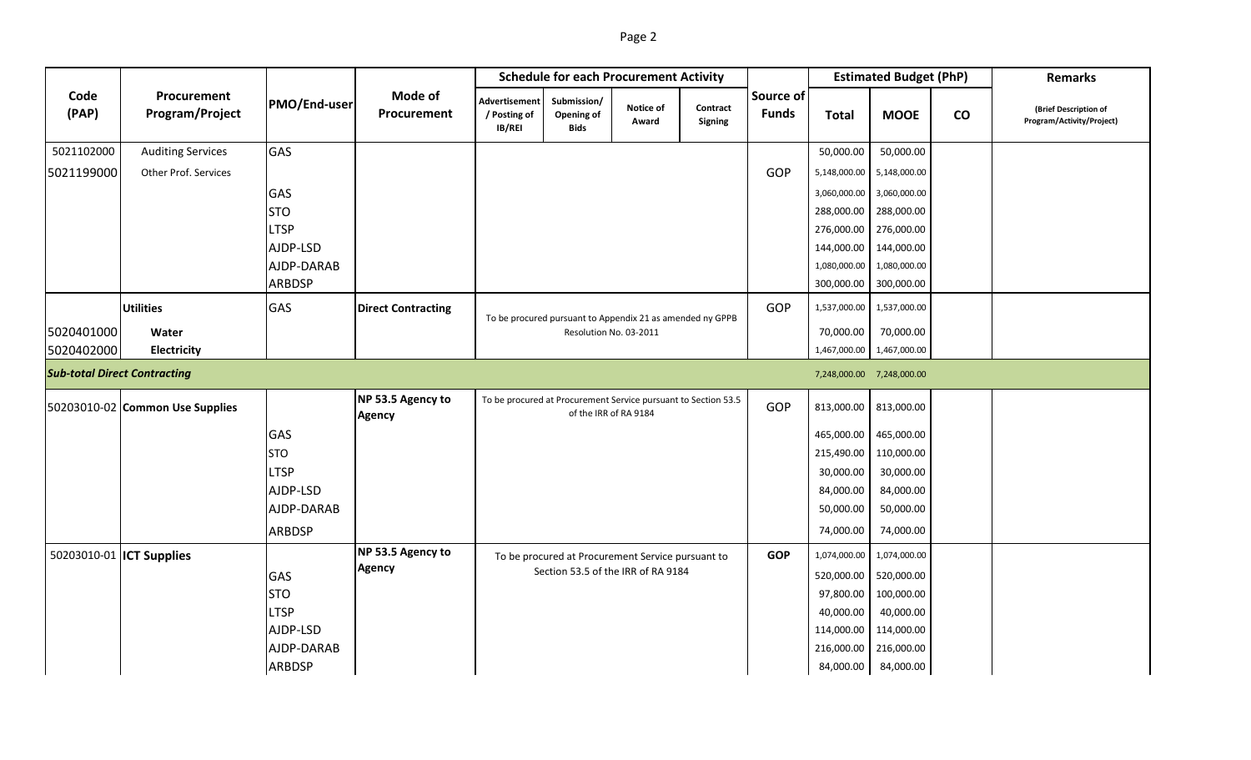|--|--|--|

|                                     |                                 |               |                                    | <b>Schedule for each Procurement Activity</b>  |                                                           |                                                                                         |                     |                           |              | <b>Estimated Budget (PhP)</b> | <b>Remarks</b>  |                                                    |
|-------------------------------------|---------------------------------|---------------|------------------------------------|------------------------------------------------|-----------------------------------------------------------|-----------------------------------------------------------------------------------------|---------------------|---------------------------|--------------|-------------------------------|-----------------|----------------------------------------------------|
| Code<br>(PAP)                       | Procurement<br>Program/Project  | PMO/End-user  | Mode of<br>Procurement             | <b>Advertisement</b><br>/ Posting of<br>IB/REI | Submission/<br>Opening of<br><b>Bids</b>                  | Notice of<br>Award                                                                      | Contract<br>Signing | Source of<br><b>Funds</b> | <b>Total</b> | <b>MOOE</b>                   | $\mathsf{co}\,$ | (Brief Description of<br>Program/Activity/Project) |
| 5021102000                          | <b>Auditing Services</b>        | GAS           |                                    |                                                |                                                           |                                                                                         |                     |                           | 50,000.00    | 50,000.00                     |                 |                                                    |
| 5021199000                          | <b>Other Prof. Services</b>     |               |                                    |                                                |                                                           |                                                                                         |                     | GOP                       | 5,148,000.00 | 5,148,000.00                  |                 |                                                    |
|                                     |                                 | GAS           |                                    |                                                |                                                           |                                                                                         |                     |                           | 3,060,000.00 | 3,060,000.00                  |                 |                                                    |
|                                     |                                 | <b>STO</b>    |                                    |                                                |                                                           |                                                                                         |                     |                           | 288,000.00   | 288,000.00                    |                 |                                                    |
|                                     |                                 | <b>LTSP</b>   |                                    |                                                |                                                           |                                                                                         |                     |                           | 276,000.00   | 276,000.00                    |                 |                                                    |
|                                     |                                 | AJDP-LSD      |                                    |                                                |                                                           |                                                                                         |                     |                           | 144,000.00   | 144,000.00                    |                 |                                                    |
|                                     |                                 | AJDP-DARAB    |                                    |                                                |                                                           |                                                                                         |                     |                           | 1,080,000.00 | 1,080,000.00                  |                 |                                                    |
|                                     |                                 | <b>ARBDSP</b> |                                    |                                                |                                                           |                                                                                         |                     |                           | 300,000.00   | 300,000.00                    |                 |                                                    |
|                                     | <b>Utilities</b>                | GAS           | <b>Direct Contracting</b>          |                                                | To be procured pursuant to Appendix 21 as amended ny GPPB | GOP                                                                                     | 1,537,000.00        | 1,537,000.00              |              |                               |                 |                                                    |
| 5020401000                          | Water                           |               |                                    |                                                |                                                           | Resolution No. 03-2011                                                                  |                     |                           | 70,000.00    | 70,000.00                     |                 |                                                    |
| 5020402000                          | Electricity                     |               |                                    |                                                |                                                           |                                                                                         |                     |                           | 1,467,000.00 | 1,467,000.00                  |                 |                                                    |
| <b>Sub-total Direct Contracting</b> |                                 |               |                                    |                                                |                                                           |                                                                                         |                     |                           |              | 7,248,000.00 7,248,000.00     |                 |                                                    |
|                                     | 50203010-02 Common Use Supplies |               | NP 53.5 Agency to<br><b>Agency</b> |                                                |                                                           | To be procured at Procurement Service pursuant to Section 53.5<br>of the IRR of RA 9184 |                     | GOP                       | 813,000.00   | 813,000.00                    |                 |                                                    |
|                                     |                                 | GAS           |                                    |                                                |                                                           |                                                                                         |                     |                           | 465,000.00   | 465,000.00                    |                 |                                                    |
|                                     |                                 | <b>STO</b>    |                                    |                                                |                                                           |                                                                                         |                     |                           | 215,490.00   | 110,000.00                    |                 |                                                    |
|                                     |                                 | <b>LTSP</b>   |                                    |                                                |                                                           |                                                                                         |                     |                           | 30,000.00    | 30,000.00                     |                 |                                                    |
|                                     |                                 | AJDP-LSD      |                                    |                                                |                                                           |                                                                                         |                     |                           | 84,000.00    | 84,000.00                     |                 |                                                    |
|                                     |                                 | AJDP-DARAB    |                                    |                                                |                                                           |                                                                                         |                     |                           | 50,000.00    | 50,000.00                     |                 |                                                    |
|                                     |                                 | <b>ARBDSP</b> |                                    |                                                |                                                           |                                                                                         |                     |                           | 74,000.00    | 74,000.00                     |                 |                                                    |
| 50203010-01 <b>ICT Supplies</b>     |                                 |               | NP 53.5 Agency to                  |                                                |                                                           | To be procured at Procurement Service pursuant to                                       |                     | <b>GOP</b>                | 1,074,000.00 | 1,074,000.00                  |                 |                                                    |
|                                     |                                 | GAS           | <b>Agency</b>                      |                                                |                                                           | Section 53.5 of the IRR of RA 9184                                                      |                     |                           | 520,000.00   | 520,000.00                    |                 |                                                    |
|                                     |                                 | <b>STO</b>    |                                    |                                                |                                                           |                                                                                         |                     |                           | 97,800.00    | 100,000.00                    |                 |                                                    |
|                                     |                                 | <b>LTSP</b>   |                                    |                                                |                                                           |                                                                                         |                     |                           | 40,000.00    | 40,000.00                     |                 |                                                    |
|                                     |                                 | AJDP-LSD      |                                    |                                                |                                                           |                                                                                         |                     |                           | 114,000.00   | 114,000.00                    |                 |                                                    |
|                                     |                                 | AJDP-DARAB    |                                    |                                                |                                                           |                                                                                         |                     |                           | 216,000.00   | 216,000.00                    |                 |                                                    |
|                                     |                                 | ARBDSP        |                                    |                                                |                                                           |                                                                                         |                     |                           | 84,000.00    | 84,000.00                     |                 |                                                    |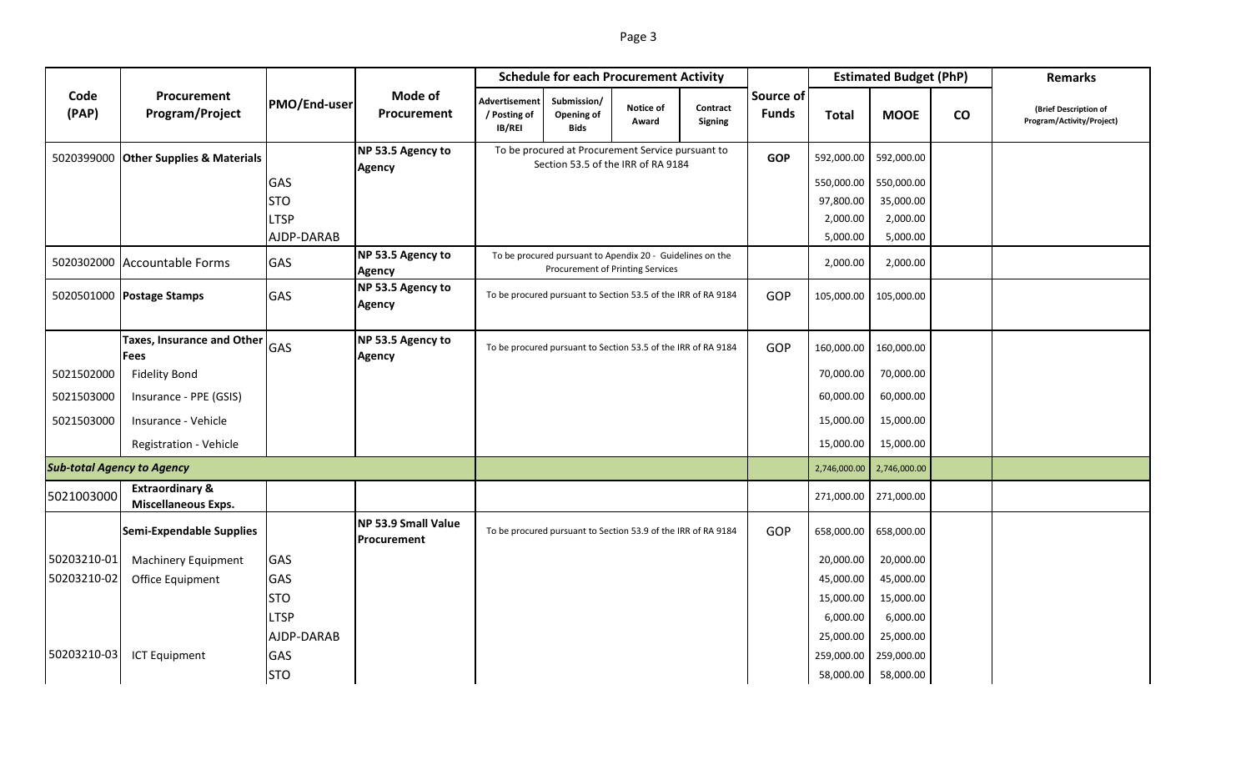|--|--|

|                                                 |                                                          |              |                                           | <b>Schedule for each Procurement Activity</b>                 |                                                                                               |                    |                            |                           |              | <b>Estimated Budget (PhP)</b> | <b>Remarks</b> |                                                    |
|-------------------------------------------------|----------------------------------------------------------|--------------|-------------------------------------------|---------------------------------------------------------------|-----------------------------------------------------------------------------------------------|--------------------|----------------------------|---------------------------|--------------|-------------------------------|----------------|----------------------------------------------------|
| Code<br>Procurement<br>(PAP)<br>Program/Project |                                                          | PMO/End-user | Mode of<br>Procurement                    | <b>Advertisement</b><br>/ Posting of<br>IB/REI                | Submission/<br>Opening of<br><b>Bids</b>                                                      | Notice of<br>Award | Contract<br><b>Signing</b> | Source of<br><b>Funds</b> | <b>Total</b> | <b>MOOE</b>                   | $\mathbf{co}$  | (Brief Description of<br>Program/Activity/Project) |
|                                                 | 5020399000 Other Supplies & Materials                    |              | NP 53.5 Agency to<br><b>Agency</b>        |                                                               | To be procured at Procurement Service pursuant to<br>Section 53.5 of the IRR of RA 9184       |                    |                            | <b>GOP</b>                | 592,000.00   | 592,000.00                    |                |                                                    |
|                                                 |                                                          | GAS          |                                           |                                                               |                                                                                               |                    |                            |                           | 550,000.00   | 550,000.00                    |                |                                                    |
|                                                 |                                                          | <b>STO</b>   |                                           |                                                               |                                                                                               |                    |                            |                           | 97,800.00    | 35,000.00                     |                |                                                    |
|                                                 |                                                          | <b>LTSP</b>  |                                           |                                                               |                                                                                               |                    |                            |                           | 2,000.00     | 2,000.00                      |                |                                                    |
|                                                 |                                                          | AJDP-DARAB   |                                           |                                                               |                                                                                               |                    |                            |                           | 5,000.00     | 5,000.00                      |                |                                                    |
|                                                 | 5020302000 Accountable Forms                             | GAS          | NP 53.5 Agency to<br><b>Agency</b>        |                                                               | To be procured pursuant to Apendix 20 - Guidelines on the<br>Procurement of Printing Services |                    |                            |                           | 2,000.00     | 2,000.00                      |                |                                                    |
|                                                 | 5020501000 Postage Stamps                                | GAS          | NP 53.5 Agency to<br><b>Agency</b>        | To be procured pursuant to Section 53.5 of the IRR of RA 9184 | GOP                                                                                           | 105,000.00         | 105,000.00                 |                           |              |                               |                |                                                    |
|                                                 | <b>Taxes, Insurance and Other</b><br><b>Fees</b>         | <b>GAS</b>   | NP 53.5 Agency to<br><b>Agency</b>        |                                                               | To be procured pursuant to Section 53.5 of the IRR of RA 9184                                 |                    |                            | GOP                       | 160,000.00   | 160,000.00                    |                |                                                    |
| 5021502000                                      | <b>Fidelity Bond</b>                                     |              |                                           |                                                               |                                                                                               |                    |                            |                           | 70,000.00    | 70,000.00                     |                |                                                    |
| 5021503000                                      | Insurance - PPE (GSIS)                                   |              |                                           |                                                               |                                                                                               |                    |                            |                           | 60,000.00    | 60,000.00                     |                |                                                    |
| 5021503000                                      | Insurance - Vehicle                                      |              |                                           |                                                               |                                                                                               |                    |                            |                           | 15,000.00    | 15,000.00                     |                |                                                    |
|                                                 | Registration - Vehicle                                   |              |                                           |                                                               |                                                                                               |                    |                            |                           | 15,000.00    | 15,000.00                     |                |                                                    |
| <b>Sub-total Agency to Agency</b>               |                                                          |              |                                           |                                                               |                                                                                               | 2,746,000.00       | 2,746,000.00               |                           |              |                               |                |                                                    |
| 5021003000                                      | <b>Extraordinary &amp;</b><br><b>Miscellaneous Exps.</b> |              |                                           |                                                               |                                                                                               |                    |                            |                           | 271,000.00   | 271,000.00                    |                |                                                    |
|                                                 | <b>Semi-Expendable Supplies</b>                          |              | <b>NP 53.9 Small Value</b><br>Procurement |                                                               | To be procured pursuant to Section 53.9 of the IRR of RA 9184                                 |                    |                            | GOP                       | 658,000.00   | 658,000.00                    |                |                                                    |
| 50203210-01                                     | Machinery Equipment                                      | GAS          |                                           |                                                               |                                                                                               |                    |                            |                           | 20,000.00    | 20,000.00                     |                |                                                    |
| 50203210-02                                     | Office Equipment                                         | GAS          |                                           |                                                               |                                                                                               |                    |                            |                           | 45,000.00    | 45,000.00                     |                |                                                    |
|                                                 |                                                          | <b>STO</b>   |                                           |                                                               |                                                                                               |                    |                            |                           | 15,000.00    | 15,000.00                     |                |                                                    |
|                                                 |                                                          | <b>LTSP</b>  |                                           |                                                               |                                                                                               |                    |                            |                           | 6,000.00     | 6,000.00                      |                |                                                    |
|                                                 |                                                          | AJDP-DARAB   |                                           |                                                               |                                                                                               |                    |                            |                           | 25,000.00    | 25,000.00                     |                |                                                    |
| 50203210-03                                     | <b>ICT Equipment</b>                                     | GAS          |                                           |                                                               |                                                                                               |                    |                            |                           | 259,000.00   | 259,000.00                    |                |                                                    |
|                                                 |                                                          | <b>STO</b>   |                                           |                                                               |                                                                                               |                    |                            |                           | 58,000.00    | 58,000.00                     |                |                                                    |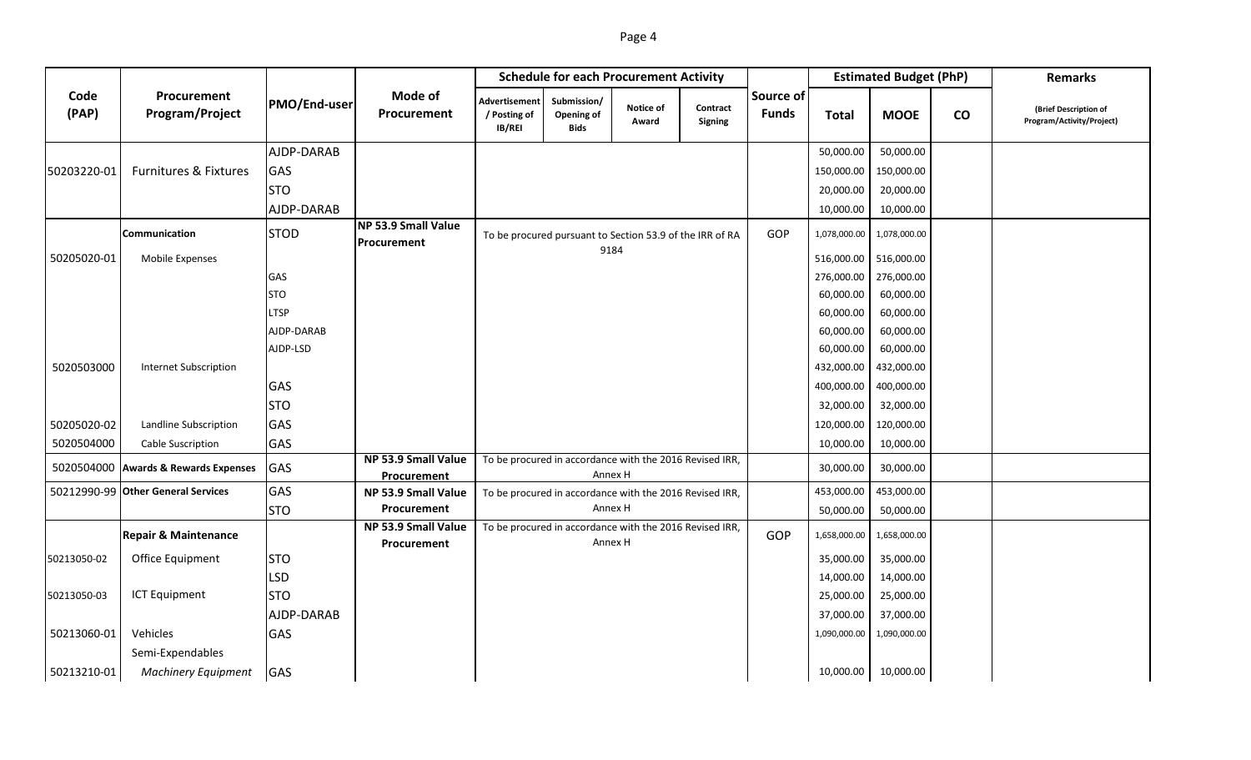|--|--|

|               |                                      |              |                                           | <b>Schedule for each Procurement Activity</b>  |                                                          |                    |                     |                           |              | <b>Estimated Budget (PhP)</b> |                              | <b>Remarks</b>                                     |
|---------------|--------------------------------------|--------------|-------------------------------------------|------------------------------------------------|----------------------------------------------------------|--------------------|---------------------|---------------------------|--------------|-------------------------------|------------------------------|----------------------------------------------------|
| Code<br>(PAP) | Procurement<br>Program/Project       | PMO/End-user | <b>Mode of</b><br>Procurement             | <b>Advertisement</b><br>/ Posting of<br>IB/REI | Submission/<br>Opening of<br><b>Bids</b>                 | Notice of<br>Award | Contract<br>Signing | Source of<br><b>Funds</b> | <b>Total</b> | <b>MOOE</b>                   | $\mathsf{co}\hspace{0.05cm}$ | (Brief Description of<br>Program/Activity/Project) |
|               |                                      | AJDP-DARAB   |                                           |                                                |                                                          |                    |                     |                           | 50,000.00    | 50,000.00                     |                              |                                                    |
| 50203220-01   | <b>Furnitures &amp; Fixtures</b>     | GAS          |                                           |                                                |                                                          |                    |                     |                           | 150,000.00   | 150,000.00                    |                              |                                                    |
|               |                                      | <b>STO</b>   |                                           |                                                |                                                          |                    |                     |                           | 20,000.00    | 20,000.00                     |                              |                                                    |
|               |                                      | AJDP-DARAB   |                                           |                                                |                                                          |                    |                     |                           | 10,000.00    | 10,000.00                     |                              |                                                    |
|               | Communication                        | <b>STOD</b>  | NP 53.9 Small Value<br>Procurement        |                                                | To be procured pursuant to Section 53.9 of the IRR of RA | 9184               |                     | GOP                       | 1,078,000.00 | 1,078,000.00                  |                              |                                                    |
| 50205020-01   | Mobile Expenses                      |              |                                           |                                                |                                                          |                    |                     | 516,000.00                | 516,000.00   |                               |                              |                                                    |
|               |                                      | GAS          |                                           |                                                |                                                          |                    |                     |                           | 276,000.00   | 276,000.00                    |                              |                                                    |
|               |                                      | <b>STO</b>   |                                           |                                                |                                                          |                    |                     |                           |              | 60,000.00                     |                              |                                                    |
|               |                                      | <b>LTSP</b>  |                                           |                                                |                                                          |                    |                     |                           |              | 60,000.00                     |                              |                                                    |
|               |                                      | AJDP-DARAB   |                                           |                                                |                                                          |                    |                     |                           |              | 60,000.00                     |                              |                                                    |
|               |                                      | AJDP-LSD     |                                           |                                                |                                                          |                    |                     |                           | 60,000.00    | 60,000.00                     |                              |                                                    |
| 5020503000    | <b>Internet Subscription</b>         |              |                                           |                                                |                                                          |                    |                     |                           | 432,000.00   | 432,000.00                    |                              |                                                    |
|               |                                      | GAS          |                                           |                                                |                                                          |                    |                     |                           | 400,000.00   | 400,000.00                    |                              |                                                    |
|               |                                      | <b>STO</b>   |                                           |                                                |                                                          |                    |                     |                           | 32,000.00    | 32,000.00                     |                              |                                                    |
| 50205020-02   | Landline Subscription                | GAS          |                                           |                                                |                                                          |                    |                     |                           | 120,000.00   | 120,000.00                    |                              |                                                    |
| 5020504000    | Cable Suscription                    | GAS          |                                           |                                                |                                                          |                    |                     |                           | 10,000.00    | 10,000.00                     |                              |                                                    |
|               | 5020504000 Awards & Rewards Expenses | GAS          | NP 53.9 Small Value<br><b>Procurement</b> |                                                | To be procured in accordance with the 2016 Revised IRR,  | Annex H            |                     |                           | 30,000.00    | 30,000.00                     |                              |                                                    |
|               | 50212990-99 Other General Services   | GAS          | NP 53.9 Small Value                       |                                                | To be procured in accordance with the 2016 Revised IRR,  |                    |                     |                           | 453,000.00   | 453,000.00                    |                              |                                                    |
|               |                                      | <b>STO</b>   | Procurement                               |                                                |                                                          | Annex H            |                     |                           | 50,000.00    | 50,000.00                     |                              |                                                    |
|               | <b>Repair &amp; Maintenance</b>      |              | NP 53.9 Small Value<br>Procurement        |                                                | To be procured in accordance with the 2016 Revised IRR,  | Annex H            |                     | GOP                       | 1,658,000.00 | 1,658,000.00                  |                              |                                                    |
| 50213050-02   | Office Equipment                     | <b>STO</b>   |                                           |                                                |                                                          |                    |                     |                           | 35,000.00    | 35,000.00                     |                              |                                                    |
|               |                                      | <b>LSD</b>   |                                           |                                                |                                                          |                    |                     |                           | 14,000.00    | 14,000.00                     |                              |                                                    |
| 50213050-03   | <b>ICT Equipment</b>                 | Іsто         |                                           |                                                |                                                          |                    |                     |                           | 25,000.00    | 25,000.00                     |                              |                                                    |
|               |                                      | AJDP-DARAB   |                                           |                                                |                                                          |                    |                     |                           | 37,000.00    | 37,000.00                     |                              |                                                    |
| 50213060-01   | Vehicles                             | GAS          |                                           |                                                |                                                          |                    |                     |                           | 1,090,000.00 | 1,090,000.00                  |                              |                                                    |
|               | Semi-Expendables                     |              |                                           |                                                |                                                          |                    |                     |                           |              |                               |                              |                                                    |
| 50213210-01   | <b>Machinery Equipment</b>           | <b>GAS</b>   |                                           |                                                |                                                          |                    |                     |                           | 10,000.00    | 10,000.00                     |                              |                                                    |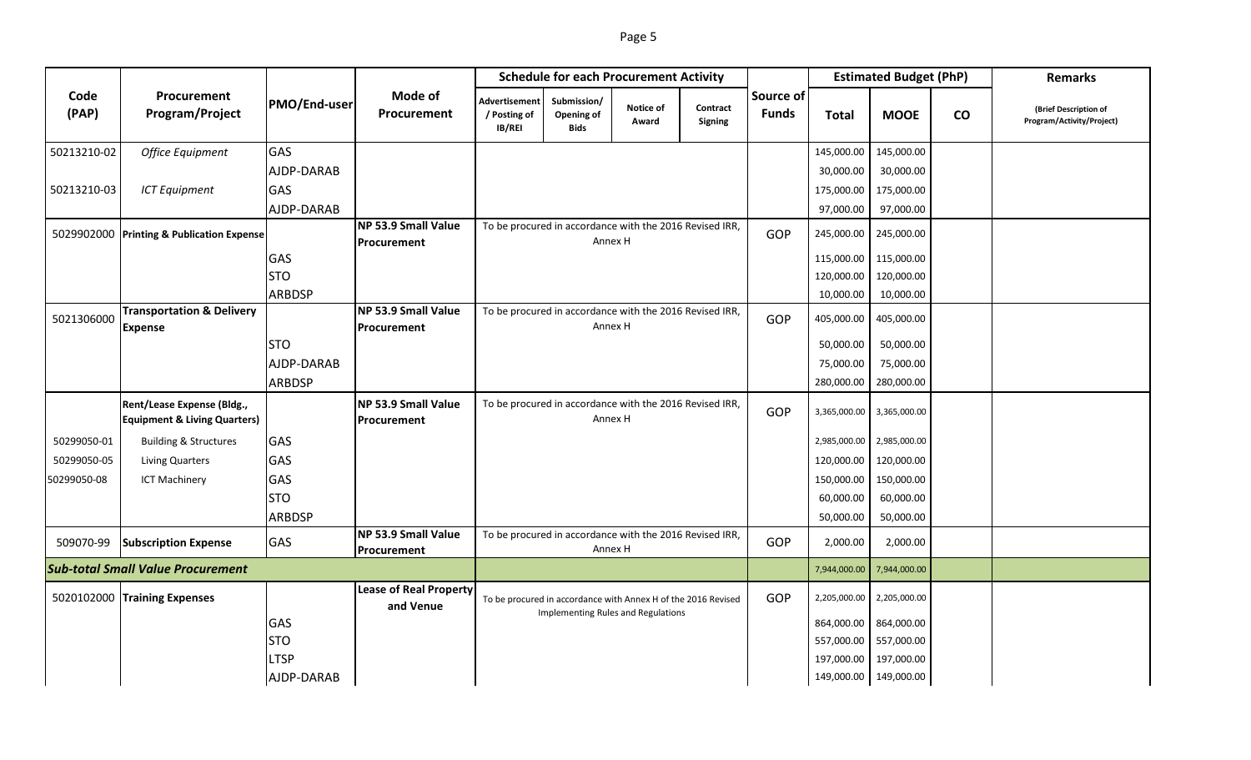|--|--|

|               |                                                                       |               |                                            | <b>Schedule for each Procurement Activity</b>                      |                                                                                                            |                    |                            |                    | <b>Estimated Budget (PhP)</b> |                           | <b>Remarks</b>  |                                                    |
|---------------|-----------------------------------------------------------------------|---------------|--------------------------------------------|--------------------------------------------------------------------|------------------------------------------------------------------------------------------------------------|--------------------|----------------------------|--------------------|-------------------------------|---------------------------|-----------------|----------------------------------------------------|
| Code<br>(PAP) | Procurement<br>Program/Project                                        | PMO/End-user  | Mode of<br>Procurement                     | Advertisement<br>/ Posting of<br>IB/REI                            | Submission/<br>Opening of<br><b>Bids</b>                                                                   | Notice of<br>Award | Contract<br><b>Signing</b> | Source of<br>Funds | <b>Total</b>                  | <b>MOOE</b>               | $\mathsf{co}\,$ | (Brief Description of<br>Program/Activity/Project) |
| 50213210-02   | <b>Office Equipment</b>                                               | <b>GAS</b>    |                                            |                                                                    |                                                                                                            |                    |                            |                    | 145,000.00                    | 145,000.00                |                 |                                                    |
|               |                                                                       | AJDP-DARAB    |                                            |                                                                    |                                                                                                            |                    |                            |                    | 30,000.00                     | 30,000.00                 |                 |                                                    |
| 50213210-03   | <b>ICT Equipment</b>                                                  | GAS           |                                            |                                                                    |                                                                                                            |                    |                            |                    | 175,000.00                    | 175,000.00                |                 |                                                    |
|               |                                                                       | AJDP-DARAB    |                                            |                                                                    |                                                                                                            |                    |                            |                    | 97,000.00                     | 97,000.00                 |                 |                                                    |
|               | 5029902000 Printing & Publication Expense                             |               | NP 53.9 Small Value<br>Procurement         |                                                                    | To be procured in accordance with the 2016 Revised IRR,                                                    | Annex H            |                            | GOP                | 245,000.00                    | 245,000.00                |                 |                                                    |
|               |                                                                       | GAS           |                                            |                                                                    |                                                                                                            |                    |                            |                    | 115,000.00                    | 115,000.00                |                 |                                                    |
|               |                                                                       | <b>STO</b>    |                                            |                                                                    |                                                                                                            |                    |                            |                    | 120,000.00                    | 120,000.00                |                 |                                                    |
|               |                                                                       | <b>ARBDSP</b> |                                            |                                                                    |                                                                                                            |                    |                            |                    | 10,000.00                     | 10,000.00                 |                 |                                                    |
| 5021306000    | <b>Transportation &amp; Delivery</b><br><b>Expense</b>                |               | NP 53.9 Small Value<br>Procurement         |                                                                    | To be procured in accordance with the 2016 Revised IRR,<br>Annex H                                         |                    |                            |                    | 405,000.00                    | 405,000.00                |                 |                                                    |
|               |                                                                       | <b>STO</b>    |                                            |                                                                    |                                                                                                            |                    |                            |                    | 50,000.00                     | 50,000.00                 |                 |                                                    |
|               |                                                                       | AJDP-DARAB    |                                            |                                                                    |                                                                                                            |                    |                            |                    | 75,000.00                     | 75,000.00                 |                 |                                                    |
|               |                                                                       | ARBDSP        |                                            |                                                                    |                                                                                                            |                    |                            |                    | 280,000.00                    | 280,000.00                |                 |                                                    |
|               | Rent/Lease Expense (Bldg.,<br><b>Equipment &amp; Living Quarters)</b> |               | NP 53.9 Small Value<br>Procurement         | To be procured in accordance with the 2016 Revised IRR,<br>Annex H |                                                                                                            |                    |                            | GOP                | 3,365,000.00                  | 3,365,000.00              |                 |                                                    |
| 50299050-01   | <b>Building &amp; Structures</b>                                      | GAS           |                                            |                                                                    |                                                                                                            |                    |                            |                    |                               | 2,985,000.00 2,985,000.00 |                 |                                                    |
| 50299050-05   | Living Quarters                                                       | GAS           |                                            |                                                                    |                                                                                                            |                    |                            |                    | 120,000.00                    | 120,000.00                |                 |                                                    |
| 50299050-08   | <b>ICT Machinery</b>                                                  | GAS           |                                            |                                                                    |                                                                                                            |                    |                            |                    | 150,000.00                    | 150,000.00                |                 |                                                    |
|               |                                                                       | <b>STO</b>    |                                            |                                                                    |                                                                                                            |                    |                            |                    | 60,000.00                     | 60,000.00                 |                 |                                                    |
|               |                                                                       | ARBDSP        |                                            |                                                                    |                                                                                                            |                    |                            |                    | 50,000.00                     | 50,000.00                 |                 |                                                    |
| 509070-99     | <b>Subscription Expense</b>                                           | GAS           | NP 53.9 Small Value<br>Procurement         |                                                                    | To be procured in accordance with the 2016 Revised IRR,                                                    | Annex H            |                            | GOP                | 2,000.00                      | 2,000.00                  |                 |                                                    |
|               | <b>Sub-total Small Value Procurement</b>                              |               |                                            |                                                                    |                                                                                                            |                    |                            |                    | 7,944,000.00                  | 7,944,000.00              |                 |                                                    |
|               | 5020102000 Training Expenses                                          |               | <b>Lease of Real Property</b><br>and Venue |                                                                    | To be procured in accordance with Annex H of the 2016 Revised<br><b>Implementing Rules and Regulations</b> |                    | GOP                        | 2,205,000.00       | 2,205,000.00                  |                           |                 |                                                    |
|               |                                                                       | GAS           |                                            |                                                                    |                                                                                                            |                    |                            |                    | 864,000.00                    | 864,000.00                |                 |                                                    |
|               |                                                                       | <b>STO</b>    |                                            |                                                                    |                                                                                                            |                    |                            |                    | 557,000.00                    | 557,000.00                |                 |                                                    |
|               |                                                                       | <b>LTSP</b>   |                                            |                                                                    |                                                                                                            |                    |                            |                    | 197,000.00                    | 197,000.00                |                 |                                                    |
|               |                                                                       | AJDP-DARAB    |                                            |                                                                    |                                                                                                            |                    |                            |                    |                               | 149,000.00 149,000.00     |                 |                                                    |